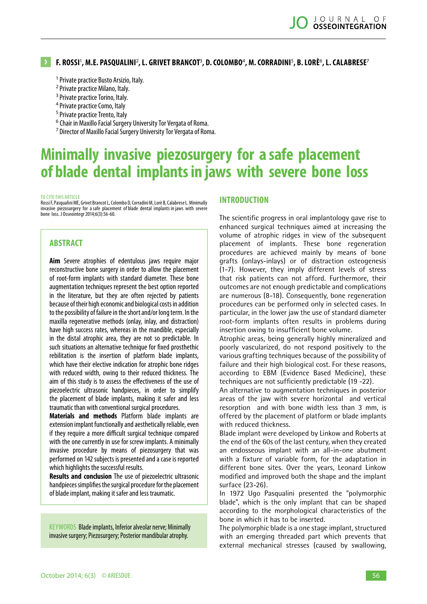# **F. Rossi** 1 **, M.E. Pasqualini**<sup>2</sup> **, L. Grivet Brancot**<sup>3</sup> **, D. Colombo**<sup>4</sup> **, M. Corradini**<sup>5</sup> **, B. Lorè**<sup>6</sup> **, L. Calabrese**<sup>7</sup>

- <sup>1</sup> Private practice Busto Arsizio, Italy.
- <sup>2</sup> Private practice Milano, Italy.
- <sup>3</sup> Private practice Torino, Italy.
- <sup>4</sup> Private practice Como, Italy
- <sup>5</sup> Private practice Trento, Italy
- 
- <sup>6</sup> Chair in Maxillo Facial Surgery University Tor Vergata of Roma.
- <sup>7</sup>Director of Maxillo Facial Surgery University Tor Vergata of Roma.

# **Minimally invasive piezosurgery for a safe placement of blade dental implants in jaws with severe bone loss**

#### to cite this article

Rossi F, Pasqualini ME, Grivet Brancot L, Colombo D, Corradini M, Lorè B, Calabrese L. Minimally invasive piezosurgery for a safe placement of blade dental implants in jaws with severe bone loss. J Osseointegr 2014;6(3):56-60.

#### **ABSTRACT**

**Aim** Severe atrophies of edentulous jaws require major reconstructive bone surgery in order to allow the placement of root-form implants with standard diameter. These bone augmentation techniques represent the best option reported in the literature, but they are often rejected by patients because of their high economic and biological costs in addition to the possibility of failure in the short and/or long term. In the maxilla regenerative methods (onlay, inlay, and distraction) have high success rates, whereas in the mandible, especially in the distal atrophic area, they are not so predictable. In such situations an alternative technique for fixed prosthethic rebilitation is the insertion of platform blade implants, which have their elective indication for atrophic bone ridges with reduced width, owing to their reduced thickness. The aim of this study is to assess the effectiveness of the use of piezoelectric ultrasonic handpieces, in order to simplify the placement of blade implants, making it safer and less traumatic than with conventional surgical procedures.

**Materials and methods** Platform blade implants are extension implant functionally and aesthetically reliable, even if they require a more difficult surgical technique compared with the one currently in use for screw implants. A minimally invasive procedure by means of piezosurgery that was performed on 142 subjects is presented and a case is reported which highlights the successful results.

**Results and conclusion** The use of piezoelectric ultrasonic handpieces simplifies the surgical procedure for the placement of blade implant, making it safer and less traumatic.

KEYWORDS Blade implants, Inferior alveolar nerve; Minimally invasive surgery; Piezosurgery; Posterior mandibular atrophy.

# **Introduction**

The scientific progress in oral implantology gave rise to enhanced surgical techniques aimed at increasing the volume of atrophic ridges in view of the subsequent placement of implants. These bone regeneration procedures are achieved mainly by means of bone grafts (onlays-inlays) or of distraction osteogenesis (1-7). However, they imply different levels of stress that risk patients can not afford. Furthermore, their outcomes are not enough predictable and complications are numerous (8-18). Consequently, bone regeneration procedures can be performed only in selected cases. In particular, in the lower jaw the use of standard diameter root-form implants often results in problems during insertion owing to insufficient bone volume.

Atrophic areas, being generally highly mineralized and poorly vascularized, do not respond positively to the various grafting techniques because of the possibility of failure and their high biological cost. For these reasons, according to EBM (Evidence Based Medicine), these techniques are not sufficiently predictable (19 -22).

An alternative to augmentation techniques in posterior areas of the jaw with severe horizontal and vertical resorption and with bone width less than 3 mm, is offered by the placement of platform or blade implants with reduced thickness.

Blade implant were developed by Linkow and Roberts at the end of the 60s of the last century, when they created an endosseous implant with an all-in-one abutment with a fixture of variable form, for the adaptation in different bone sites. Over the years, Leonard Linkow modified and improved both the shape and the implant surface (23-26).

In 1972 Ugo Pasqualini presented the "polymorphic blade", which is the only implant that can be shaped according to the morphological characteristics of the bone in which it has to be inserted.

The polymorphic blade is a one stage implant, structured with an emerging threaded part which prevents that external mechanical stresses (caused by swallowing,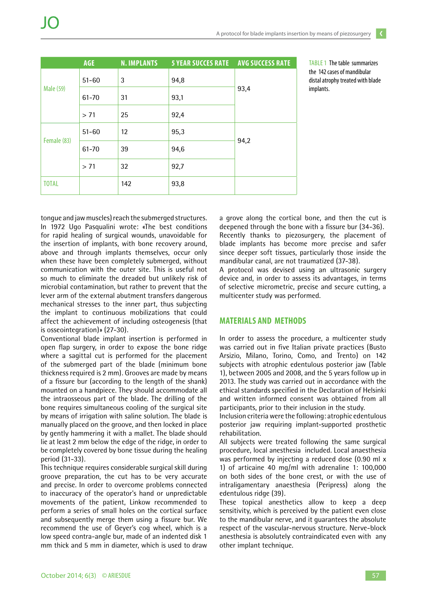|              | <b>AGE</b> | <b>N. IMPLANTS</b> | <b>5 YEAR SUCCES RATE</b> | <b>AVG SUCCESS RATE</b> |
|--------------|------------|--------------------|---------------------------|-------------------------|
| Male (59)    | $51 - 60$  | 3                  | 94,8                      | 93,4                    |
|              | $61 - 70$  | 31                 | 93,1                      |                         |
|              | > 71       | 25                 | 92,4                      |                         |
| Female (83)  | $51 - 60$  | 12                 | 95,3                      | 94,2                    |
|              | 61-70      | 39                 | 94,6                      |                         |
|              | > 71       | 32                 | 92,7                      |                         |
| <b>TOTAL</b> |            | 142                | 93,8                      |                         |

TABLE 1 The table summarizes the 142 cases of mandibular distal atrophy treated with blade implants.

tongue and jaw muscles) reach the submerged structures. In 1972 Ugo Pasqualini wrote: «The best conditions for rapid healing of surgical wounds, unavoidable for the insertion of implants, with bone recovery around, above and through implants themselves, occur only when these have been completely submerged, without communication with the outer site. This is useful not so much to eliminate the dreaded but unlikely risk of microbial contamination, but rather to prevent that the lever arm of the external abutment transfers dangerous mechanical stresses to the inner part, thus subjecting the implant to continuous mobilizations that could affect the achievement of including osteogenesis (that is osseointegration)» (27-30).

Conventional blade implant insertion is performed in open flap surgery, in order to expose the bone ridge where a sagittal cut is performed for the placement of the submerged part of the blade (minimum bone thickness required is 2 mm). Grooves are made by means of a fissure bur (according to the length of the shank) mounted on a handpiece. They should accommodate all the intraosseous part of the blade. The drilling of the bone requires simultaneous cooling of the surgical site by means of irrigation with saline solution. The blade is manually placed on the groove, and then locked in place by gently hammering it with a mallet. The blade should lie at least 2 mm below the edge of the ridge, in order to be completely covered by bone tissue during the healing period (31-33).

This technique requires considerable surgical skill during groove preparation, the cut has to be very accurate and precise. In order to overcome problems connected to inaccuracy of the operator's hand or unpredictable movements of the patient, Linkow recommended to perform a series of small holes on the cortical surface and subsequently merge them using a fissure bur. We recommend the use of Geyer's cog wheel, which is a low speed contra-angle bur, made of an indented disk 1 mm thick and 5 mm in diameter, which is used to draw

a grove along the cortical bone, and then the cut is deepened through the bone with a fissure bur (34-36). Recently thanks to piezosurgery, the placement of blade implants has become more precise and safer since deeper soft tissues, particularly those inside the mandibular canal, are not traumatized (37-38).

A protocol was devised using an ultrasonic surgery device and, in order to assess its advantages, in terms of selective micrometric, precise and secure cutting, a multicenter study was performed.

#### **MATERIALS AND METHODS**

In order to assess the procedure, a multicenter study was carried out in five Italian private practices (Busto Arsizio, Milano, Torino, Como, and Trento) on 142 subjects with atrophic edentulous posterior jaw (Table 1), between 2005 and 2008, and the 5 years follow up in 2013. The study was carried out in accordance with the ethical standards specified in the Declaration of Helsinki and written informed consent was obtained from all participants, prior to their inclusion in the study.

Inclusion criteria were the following: atrophic edentulous posterior jaw requiring implant-supported prosthetic rehabilitation.

All subjects were treated following the same surgical procedure, local anesthesia included. Local anaesthesia was performed by injecting a reduced dose (0.90 ml x 1) of articaine 40 mg/ml with adrenaline 1: 100,000 on both sides of the bone crest, or with the use of intraligamentary anaesthesia (Peripress) along the edentulous ridge (39).

These topical anesthetics allow to keep a deep sensitivity, which is perceived by the patient even close to the mandibular nerve, and it guarantees the absolute respect of the vascular-nervous structure. Nerve-block anesthesia is absolutely contraindicated even with any other implant technique.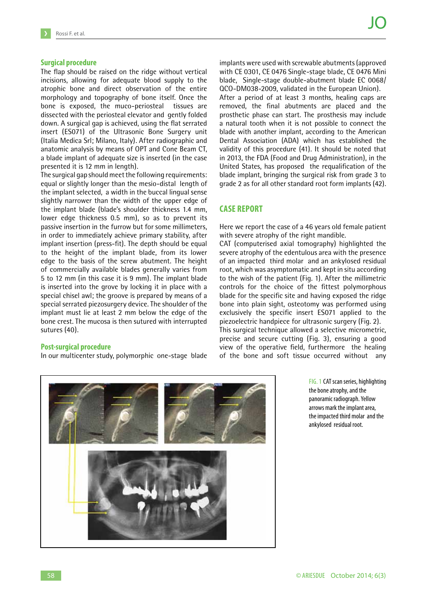#### **Surgical procedure**

The flap should be raised on the ridge without vertical incisions, allowing for adequate blood supply to the atrophic bone and direct observation of the entire morphology and topography of bone itself. Once the bone is exposed, the muco-periosteal tissues are dissected with the periosteal elevator and gently folded down. A surgical gap is achieved, using the flat serrated insert (ES071) of the Ultrasonic Bone Surgery unit (Italia Medica Srl; Milano, Italy). After radiographic and anatomic analysis by means of OPT and Cone Beam CT, a blade implant of adequate size is inserted (in the case presented it is 12 mm in length).

The surgical gap should meet the following requirements: equal or slightly longer than the mesio-distal length of the implant selected, a width in the buccal lingual sense slightly narrower than the width of the upper edge of the implant blade (blade's shoulder thickness 1.4 mm, lower edge thickness 0.5 mm), so as to prevent its passive insertion in the furrow but for some millimeters, in order to immediately achieve primary stability, after implant insertion (press-fit). The depth should be equal to the height of the implant blade, from its lower edge to the basis of the screw abutment. The height of commercially available blades generally varies from 5 to 12 mm (in this case it is 9 mm). The implant blade is inserted into the grove by locking it in place with a special chisel awl; the groove is prepared by means of a special serrated piezosurgery device. The shoulder of the implant must lie at least 2 mm below the edge of the bone crest. The mucosa is then sutured with interrupted sutures (40).

#### **Post-surgical procedure**

In our multicenter study, polymorphic one-stage blade

implants were used with screwable abutments (approved with CE 0301, CE 0476 Single-stage blade, CE 0476 Mini blade, Single-stage double-abutment blade EC 0068/ QCO-DM038-2009, validated in the European Union). After a period of at least 3 months, healing caps are removed, the final abutments are placed and the prosthetic phase can start. The prosthesis may include a natural tooth when it is not possible to connect the blade with another implant, according to the American Dental Association (ADA) which has established the validity of this procedure (41). It should be noted that in 2013, the FDA (Food and Drug Administration), in the United States, has proposed the requalification of the blade implant, bringing the surgical risk from grade 3 to grade 2 as for all other standard root form implants (42).

### **CASE REPORT**

Here we report the case of a 46 years old female patient with severe atrophy of the right mandible.

CAT (computerised axial tomography) highlighted the severe atrophy of the edentulous area with the presence of an impacted third molar and an ankylosed residual root, which was asymptomatic and kept in situ according to the wish of the patient (Fig. 1). After the millimetric controls for the choice of the fittest polymorphous blade for the specific site and having exposed the ridge bone into plain sight, osteotomy was performed using exclusively the specific insert ES071 applied to the piezoelectric handpiece for ultrasonic surgery (Fig. 2). This surgical technique allowed a selective micrometric, precise and secure cutting (Fig. 3), ensuring a good view of the operative field, furthermore the healing of the bone and soft tissue occurred without any



fig. 1 CAT scan series, highlighting the bone atrophy, and the panoramic radiograph. Yellow arrows mark the implant area, the impacted third molar and the ankylosed residual root.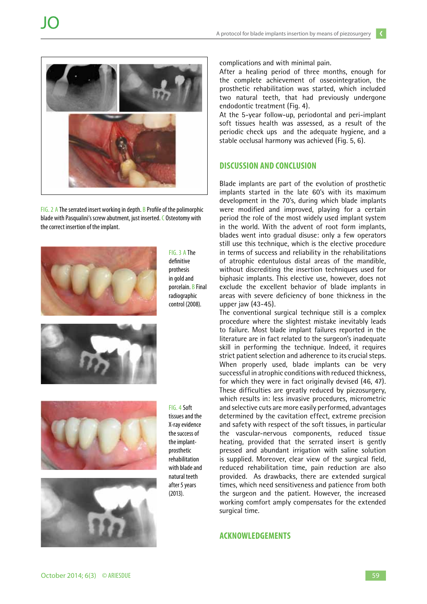

fig. 2 A The serrated insert working in depth. B Profile of the polimorphic blade with Pasqualini's screw abutment, just inserted. C Osteotomy with the correct insertion of the implant.



fig. 3 A The definitive prothesis in gold and porcelain. B Final radiographic control (2008).





fig. 4 Soft tissues and the X-ray evidence the success of the implantprosthetic rehabilitation with blade and natural teeth after 5 years (2013).

complications and with minimal pain.

After a healing period of three months, enough for the complete achievement of osseointegration, the prosthetic rehabilitation was started, which included two natural teeth, that had previously undergone endodontic treatment (Fig. 4).

At the 5-year follow-up, periodontal and peri-implant soft tissues health was assessed, as a result of the periodic check ups and the adequate hygiene, and a stable occlusal harmony was achieved (Fig. 5, 6).

# **DISCUSSION AND CONCLUSION**

Blade implants are part of the evolution of prosthetic implants started in the late 60's with its maximum development in the 70's, during which blade implants were modified and improved, playing for a certain period the role of the most widely used implant system in the world. With the advent of root form implants, blades went into gradual disuse: only a few operators still use this technique, which is the elective procedure in terms of success and reliability in the rehabilitations of atrophic edentulous distal areas of the mandible, without discrediting the insertion techniques used for biphasic implants. This elective use, however, does not exclude the excellent behavior of blade implants in areas with severe deficiency of bone thickness in the upper jaw (43-45).

The conventional surgical technique still is a complex procedure where the slightest mistake inevitably leads to failure. Most blade implant failures reported in the literature are in fact related to the surgeon's inadequate skill in performing the technique. Indeed, it requires strict patient selection and adherence to its crucial steps. When properly used, blade implants can be very successful in atrophic conditions with reduced thickness, for which they were in fact originally devised (46, 47). These difficulties are greatly reduced by piezosurgery, which results in: less invasive procedures, micrometric and selective cuts are more easily performed, advantages determined by the cavitation effect, extreme precision and safety with respect of the soft tissues, in particular the vascular-nervous components, reduced tissue heating, provided that the serrated insert is gently pressed and abundant irrigation with saline solution is supplied. Moreover, clear view of the surgical field, reduced rehabilitation time, pain reduction are also provided. As drawbacks, there are extended surgical times, which need sensitiveness and patience from both the surgeon and the patient. However, the increased working comfort amply compensates for the extended surgical time.

# **Acknowledgements**